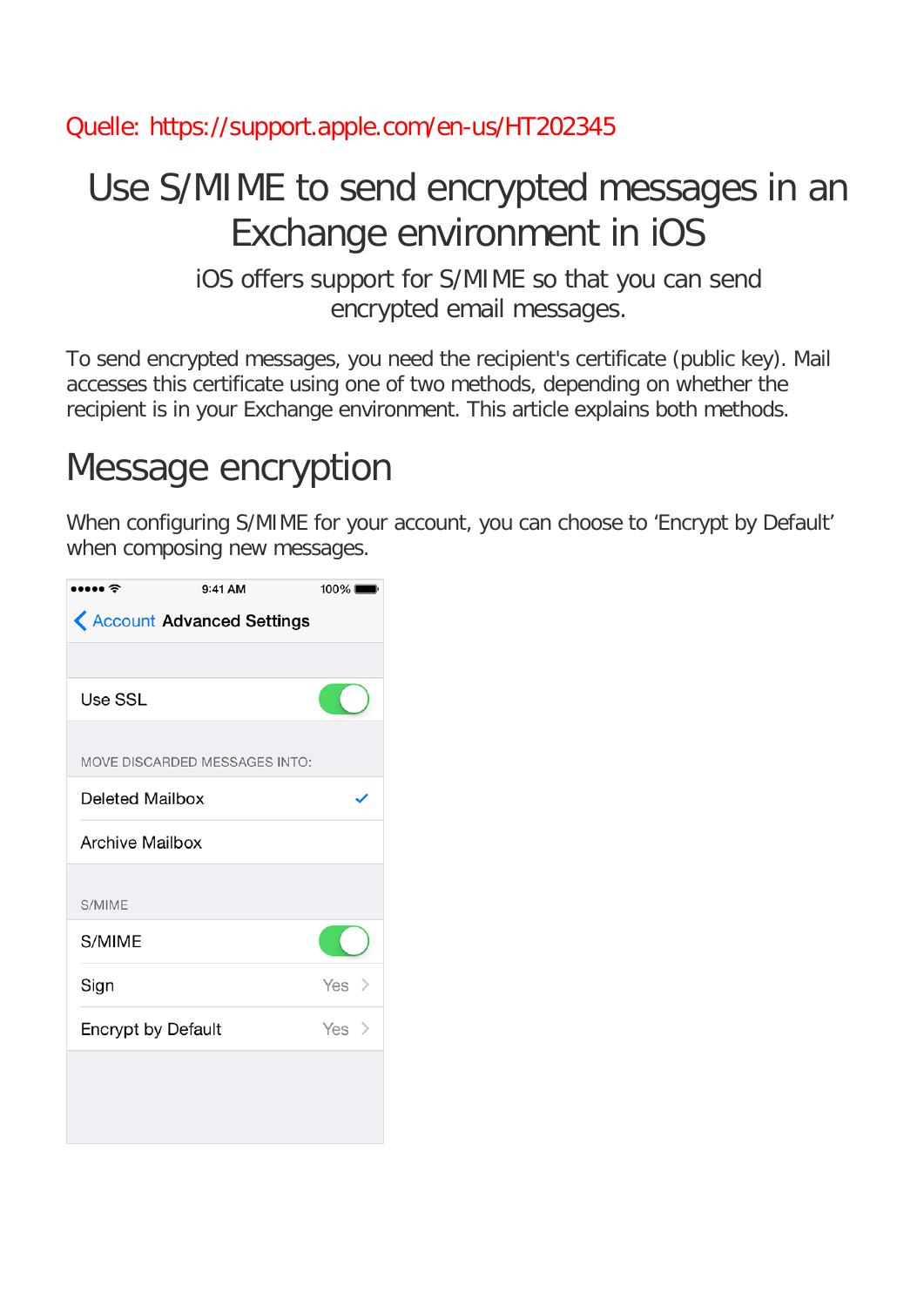#### Quelle: https://support.apple.com/en-us/HT202345

### Use S/MIME to send encrypted messages in an Exchange environment in iOS

iOS offers support for S/MIME so that you can send encrypted email messages.

To send encrypted messages, you need the recipient's certificate (public key). Mail accesses this certificate using one of two methods, depending on whether the recipient is in your Exchange environment. This article explains both methods.

# Message encryption

When configuring S/MIME for your account, you can choose to 'Encrypt by Default' when composing new messages.

| $\bullet \bullet \widehat{\mathbb{F}}$ | 9:41 AM                               | $100\%$ |
|----------------------------------------|---------------------------------------|---------|
|                                        | <b>&lt; Account Advanced Settings</b> |         |
|                                        |                                       |         |
| Use SSL                                |                                       |         |
|                                        | MOVE DISCARDED MESSAGES INTO:         |         |
| Deleted Mailbox                        |                                       |         |
| <b>Archive Mailbox</b>                 |                                       |         |
| S/MIME                                 |                                       |         |
| S/MIME                                 |                                       |         |
| Sign                                   |                                       | Yes $>$ |
| <b>Encrypt by Default</b>              |                                       | Yes $>$ |
|                                        |                                       |         |
|                                        |                                       |         |
|                                        |                                       |         |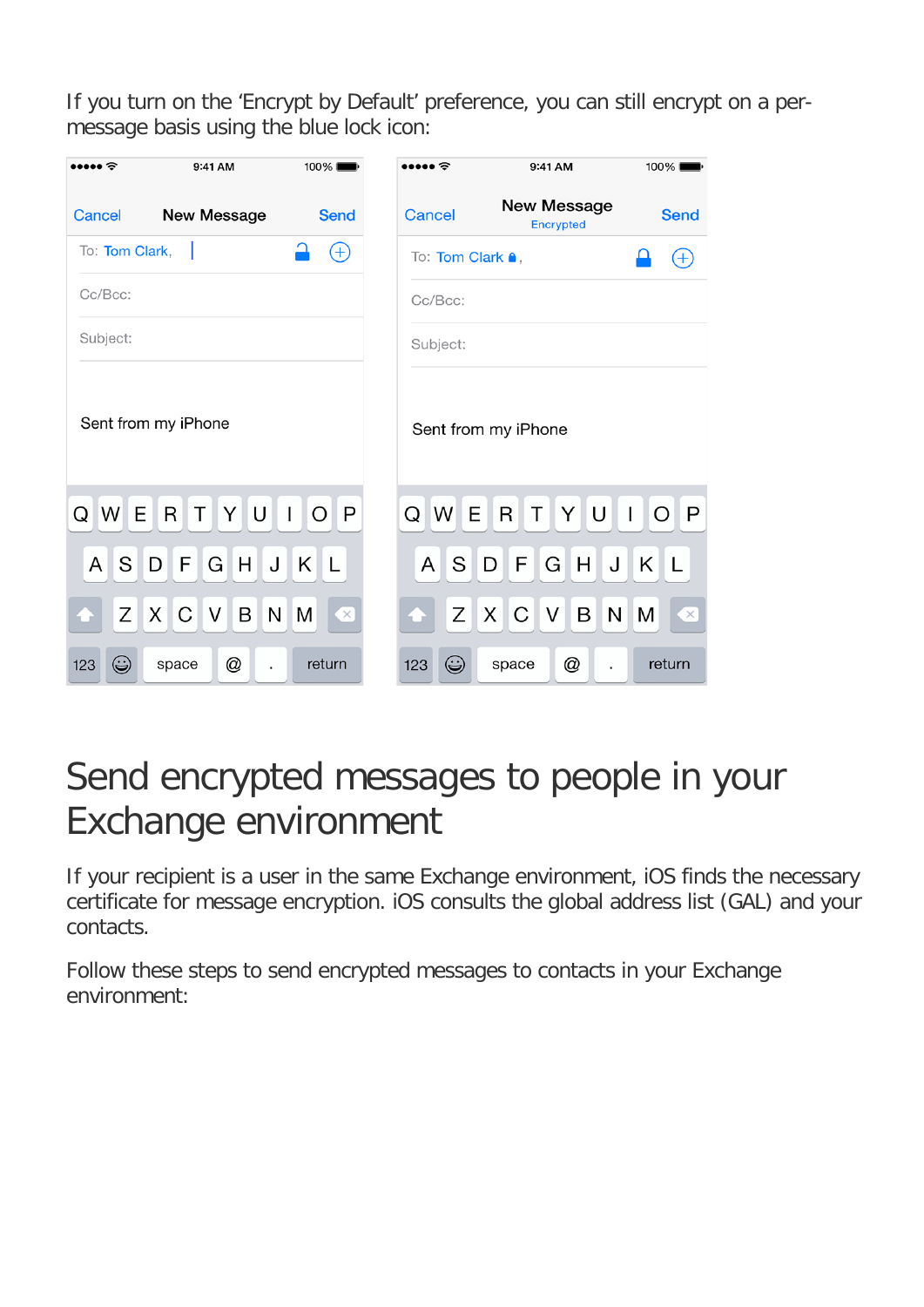If you turn on the 'Encrypt by Default' preference, you can still encrypt on a permessage basis using the blue lock icon:

| $\bullet \widehat{\bullet}$ | 9:41 AM                 | 100%                    | e                        | 9:41 AM                                | 100%                           |
|-----------------------------|-------------------------|-------------------------|--------------------------|----------------------------------------|--------------------------------|
| <b>Cancel</b>               | <b>New Message</b>      | <b>Send</b>             | <b>Cancel</b>            | <b>New Message</b><br><b>Encrypted</b> | <b>Send</b>                    |
| To: Tom Clark,              | - 1                     | $\biguplus$             | To: Tom Clark <b>a</b> , |                                        | $^{+}$                         |
| Cc/Bcc:                     |                         |                         | Cc/Bcc:                  |                                        |                                |
| Subject:                    |                         |                         | Subject:                 |                                        |                                |
|                             | Sent from my iPhone     |                         |                          | Sent from my iPhone                    |                                |
| W E<br>Q                    | YU<br>R<br>$\mathsf{T}$ | $O$ $P$<br>$\mathbf{I}$ | Q W E R                  | YUI<br>Τ                               | $\overline{O}$<br>l P          |
| S<br>A                      | $G$ H<br>F<br>D         | JKL                     | $\mathsf{A}$<br>S        | G H<br>F.<br>D                         | J K L                          |
| $Z$ $X$                     | $V$ $B$<br>C            | N M<br>$\bullet$        |                          | Z X C<br> V B                          | N M<br>$\overline{\mathbf{X}}$ |
| ۳<br>123                    | @<br>space              | return                  | $\odot$<br>123           | @<br>space                             | return                         |

# Send encrypted messages to people in your Exchange environment

If your recipient is a user in the same Exchange environment, iOS finds the necessary certificate for message encryption. iOS consults the global address list (GAL) and your contacts.

Follow these steps to send encrypted messages to contacts in your Exchange environment: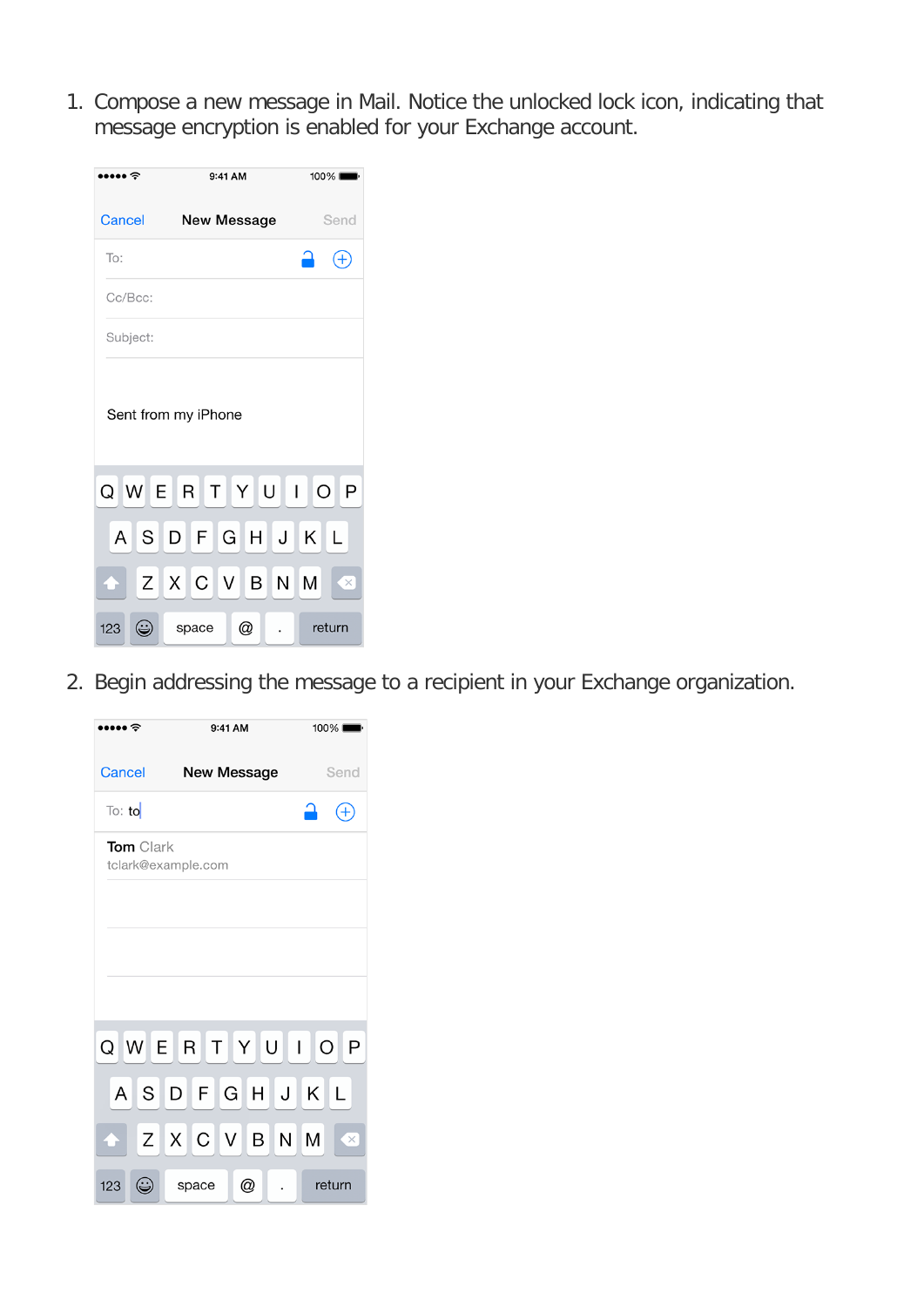1. Compose a new message in Mail. Notice the unlocked lock icon, indicating that message encryption is enabled for your Exchange account.

| ।••• †   |   |                     | 9:41 AM     | 100% |              |
|----------|---|---------------------|-------------|------|--------------|
| Cancel   |   |                     | New Message |      | Send         |
| To:      |   |                     |             |      | $^{(+)}$     |
| Cc/Bcc:  |   |                     |             |      |              |
| Subject: |   |                     |             |      |              |
|          |   | Sent from my iPhone |             |      |              |
|          |   | Q W E R T Y U I O   |             |      | $\mathsf{P}$ |
|          |   | ASDFGHJKL           |             |      |              |
|          |   | Z X C V B N         |             | M    | $\times$     |
| 123      | ۳ | space               | @           |      | return       |

2. Begin addressing the message to a recipient in your Exchange organization.

|                      | 9:41 AM            | 100%          |
|----------------------|--------------------|---------------|
| Cancel               | <b>New Message</b> | Send          |
| $\overline{1}$ o: to |                    |               |
| <b>Tom</b> Clark     | tclark@example.com |               |
|                      |                    |               |
|                      |                    |               |
|                      |                    |               |
|                      | Q W E R T Y U I O  | $\mathsf{P}$  |
| A                    | SDFGHJ             | KL            |
|                      | Z X C V B N        | M<br>$\times$ |
| 123                  | @<br>space         | return        |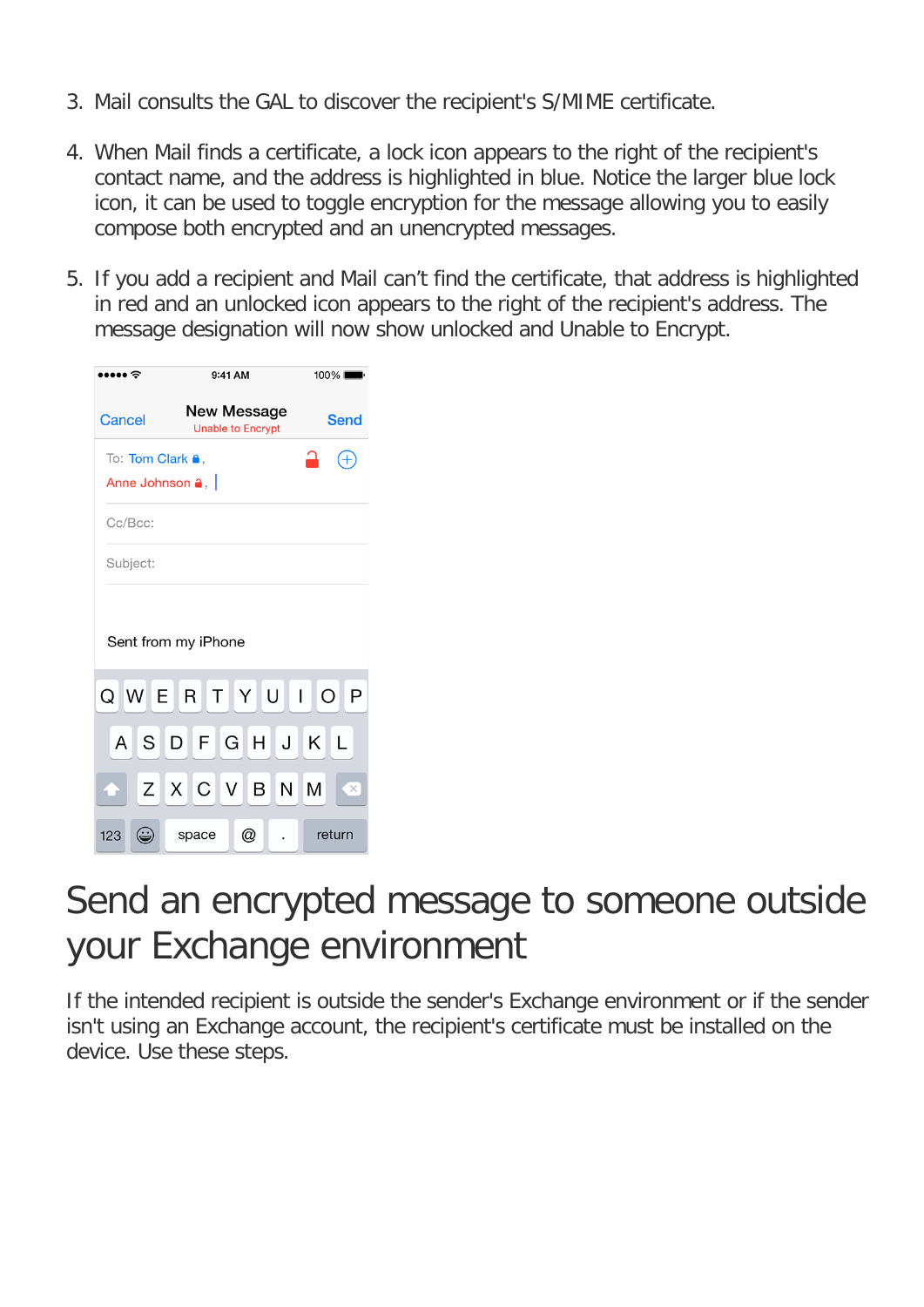- 3. Mail consults the GAL to discover the recipient's S/MIME certificate.
- 4. When Mail finds a certificate, a lock icon appears to the right of the recipient's contact name, and the address is highlighted in blue. Notice the larger blue lock icon, it can be used to toggle encryption for the message allowing you to easily compose both encrypted and an unencrypted messages.
- 5. If you add a recipient and Mail can't find the certificate, that address is highlighted in red and an unlocked icon appears to the right of the recipient's address. The message designation will now show unlocked and Unable to Encrypt.

|                                                          | 9:41 AM                                 | 100%              |  |
|----------------------------------------------------------|-----------------------------------------|-------------------|--|
| Cancel                                                   | New Message<br><b>Unable to Encrypt</b> | Send              |  |
| To: Tom Clark <sup>a</sup> ,<br>Anne Johnson $\bullet$ . |                                         | $\,+\,$           |  |
| Cc/Bcc:                                                  |                                         |                   |  |
| Subject:                                                 |                                         |                   |  |
|                                                          | Sent from my iPhone                     |                   |  |
|                                                          | Q W E R T Y U I O                       | $\mathsf{P}$      |  |
| A                                                        | SDFGHJ                                  | Κ<br>$\mathsf{L}$ |  |
|                                                          | Z X C V B N                             | M<br>$\times$     |  |
| 123<br>⊖                                                 | @<br>space                              | return            |  |

#### Send an encrypted message to someone outside your Exchange environment

If the intended recipient is outside the sender's Exchange environment or if the sender isn't using an Exchange account, the recipient's certificate must be installed on the device. Use these steps.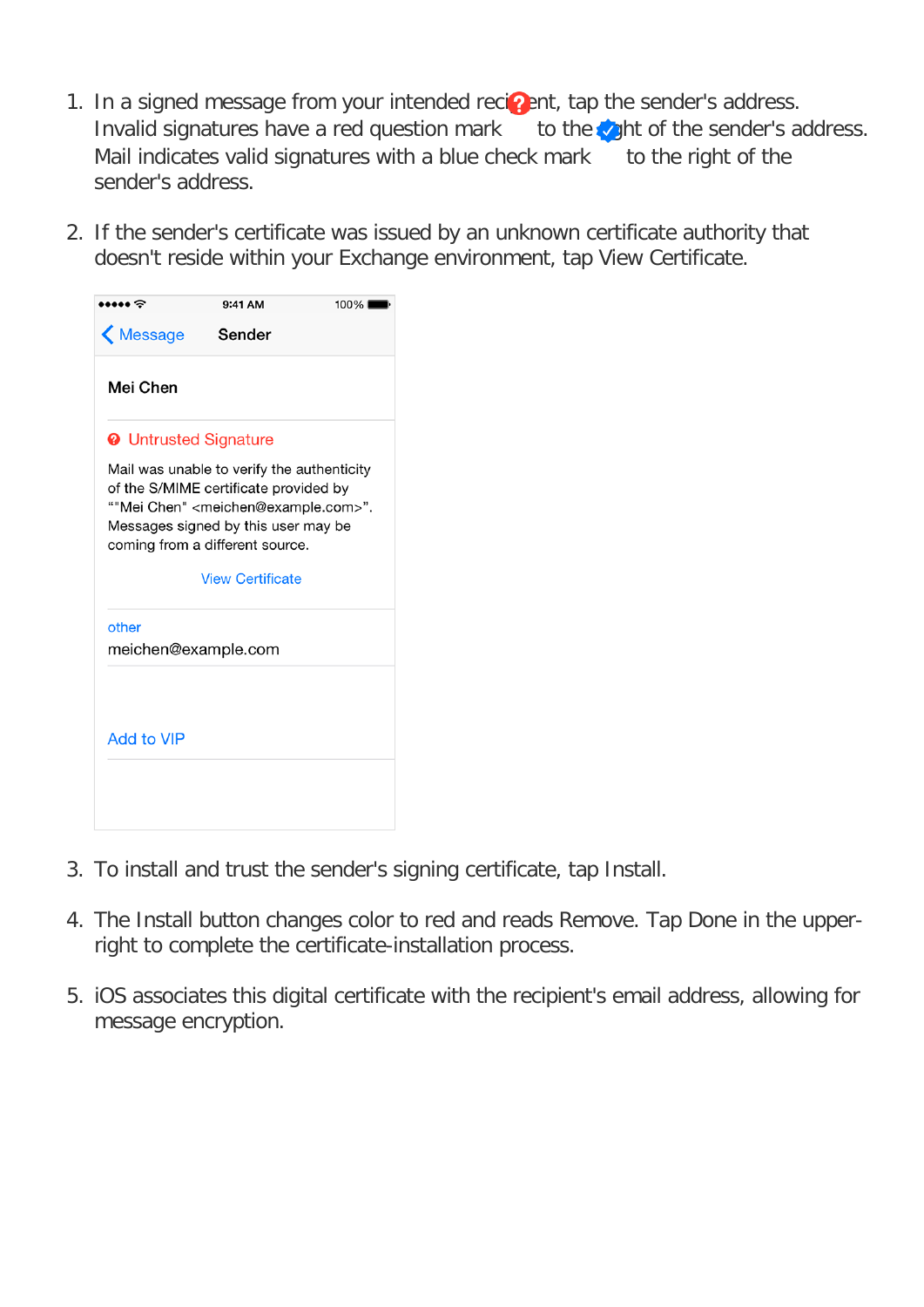- 1. In a signed message from your intended recipent, tap the sender's address. Invalid signatures have a red question mark to the  $\mathcal{L}_{1}$  to the sender's address. Mail indicates valid signatures with a blue check mark to the right of the sender's address.
- 2. If the sender's certificate was issued by an unknown certificate authority that doesn't reside within your Exchange environment, tap View Certificate.

|                              | 9:41 AM                                                                                                                                                                                                                      | 100% |
|------------------------------|------------------------------------------------------------------------------------------------------------------------------------------------------------------------------------------------------------------------------|------|
| K Message                    | Sender                                                                                                                                                                                                                       |      |
| Mei Chen                     |                                                                                                                                                                                                                              |      |
| <b>@</b> Untrusted Signature |                                                                                                                                                                                                                              |      |
|                              | Mail was unable to verify the authenticity<br>of the S/MIME certificate provided by<br>""Mei Chen" <meichen@example.com>".<br/>Messages signed by this user may be<br/>coming from a different source.</meichen@example.com> |      |
|                              | <b>View Certificate</b>                                                                                                                                                                                                      |      |
| other                        |                                                                                                                                                                                                                              |      |
| meichen@example.com          |                                                                                                                                                                                                                              |      |
|                              |                                                                                                                                                                                                                              |      |
| <b>Add to VIP</b>            |                                                                                                                                                                                                                              |      |
|                              |                                                                                                                                                                                                                              |      |
|                              |                                                                                                                                                                                                                              |      |
|                              |                                                                                                                                                                                                                              |      |

- 3. To install and trust the sender's signing certificate, tap Install.
- 4. The Install button changes color to red and reads Remove. Tap Done in the upperright to complete the certificate-installation process.
- 5. iOS associates this digital certificate with the recipient's email address, allowing for message encryption.